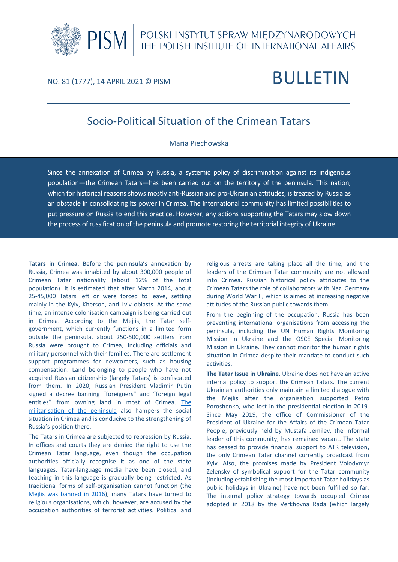

# NO. 81 (1777), 14 APRIL 2021 © PISM BULLETIN

# Socio-Political Situation of the Crimean Tatars

### Maria Piechowska

Since the annexation of Crimea by Russia, a systemic policy of discrimination against its indigenous population—the Crimean Tatars—has been carried out on the territory of the peninsula. This nation, which for historical reasons shows mostly anti-Russian and pro-Ukrainian attitudes, is treated by Russia as an obstacle in consolidating its power in Crimea. The international community has limited possibilities to put pressure on Russia to end this practice. However, any actions supporting the Tatars may slow down the process of russification of the peninsula and promote restoring the territorial integrity of Ukraine.

**Tatars in Crimea**. Before the peninsula's annexation by Russia, Crimea was inhabited by about 300,000 people of Crimean Tatar nationality (about 12% of the total population). It is estimated that after March 2014, about 25-45,000 Tatars left or were forced to leave, settling mainly in the Kyiv, Kherson, and Lviv oblasts. At the same time, an intense colonisation campaign is being carried out in Crimea. According to the Mejlis, the Tatar selfgovernment, which currently functions in a limited form outside the peninsula, about 250-500,000 settlers from Russia were brought to Crimea, including officials and military personnel with their families. There are settlement support programmes for newcomers, such as housing compensation. Land belonging to people who have not acquired Russian citizenship (largely Tatars) is confiscated from them. In 2020, Russian President Vladimir Putin signed a decree banning "foreigners" and "foreign legal entities" from owning land in most of Crimea. [The](https://pism.pl/publications/The_Significance_of_Russias_Militarisation_of_Crimea)  [militarisation of the peninsula](https://pism.pl/publications/The_Significance_of_Russias_Militarisation_of_Crimea) also hampers the social situation in Crimea and is conducive to the strengthening of Russia's position there.

The Tatars in Crimea are subjected to repression by Russia. In offices and courts they are denied the right to use the Crimean Tatar language, even though the occupation authorities officially recognise it as one of the state languages. Tatar-language media have been closed, and teaching in this language is gradually being restricted. As traditional forms of self-organisation cannot function (the [Mejlis was banned in 2016\)](https://pism.pl/publications/Banning_the_Majlis__Another_Manifestation_of_Russian_Repression_of_the_Crimean_Tatars), many Tatars have turned to religious organisations, which, however, are accused by the occupation authorities of terrorist activities. Political and

religious arrests are taking place all the time, and the leaders of the Crimean Tatar community are not allowed into Crimea. Russian historical policy attributes to the Crimean Tatars the role of collaborators with Nazi Germany during World War II, which is aimed at increasing negative attitudes of the Russian public towards them.

From the beginning of the occupation, Russia has been preventing international organisations from accessing the peninsula, including the UN Human Rights Monitoring Mission in Ukraine and the OSCE Special Monitoring Mission in Ukraine. They cannot monitor the human rights situation in Crimea despite their mandate to conduct such activities.

**The Tatar Issue in Ukraine**. Ukraine does not have an active internal policy to support the Crimean Tatars. The current Ukrainian authorities only maintain a limited dialogue with the Mejlis after the organisation supported Petro Poroshenko, who lost in the presidential election in 2019. Since May 2019, the office of Commissioner of the President of Ukraine for the Affairs of the Crimean Tatar People, previously held by Mustafa Jemilev, the informal leader of this community, has remained vacant. The state has ceased to provide financial support to ATR television, the only Crimean Tatar channel currently broadcast from Kyiv. Also, the promises made by President Volodymyr Zelensky of symbolical support for the Tatar community (including establishing the most important Tatar holidays as public holidays in Ukraine) have not been fulfilled so far. The internal policy strategy towards occupied Crimea adopted in 2018 by the Verkhovna Rada (which largely